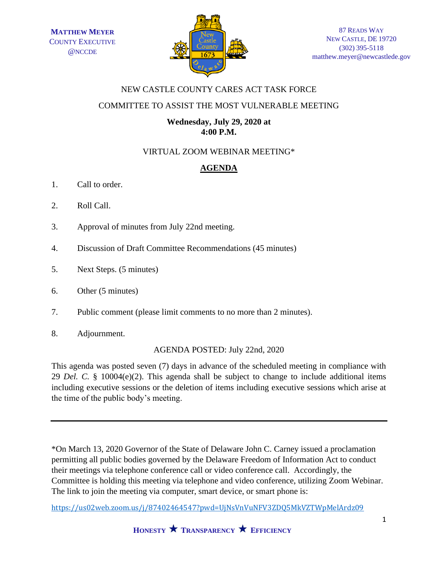

## NEW CASTLE COUNTY CARES ACT TASK FORCE

### COMMITTEE TO ASSIST THE MOST VULNERABLE MEETING

### **Wednesday, July 29, 2020 at 4:00 P.M.**

# VIRTUAL ZOOM WEBINAR MEETING\*

# **AGENDA**

- 1. Call to order.
- 2. Roll Call.
- 3. Approval of minutes from July 22nd meeting.
- 4. Discussion of Draft Committee Recommendations (45 minutes)
- 5. Next Steps. (5 minutes)
- 6. Other (5 minutes)
- 7. Public comment (please limit comments to no more than 2 minutes).
- 8. Adjournment.

#### AGENDA POSTED: July 22nd, 2020

This agenda was posted seven (7) days in advance of the scheduled meeting in compliance with 29 *Del. C.* § 10004(e)(2). This agenda shall be subject to change to include additional items including executive sessions or the deletion of items including executive sessions which arise at the time of the public body's meeting.

\*On March 13, 2020 Governor of the State of Delaware John C. Carney issued a proclamation permitting all public bodies governed by the Delaware Freedom of Information Act to conduct their meetings via telephone conference call or video conference call. Accordingly, the Committee is holding this meeting via telephone and video conference, utilizing Zoom Webinar. The link to join the meeting via computer, smart device, or smart phone is:

<https://us02web.zoom.us/j/87402464547?pwd=UjNsVnVuNFV3ZDQ5MkVZTWpMelArdz09>